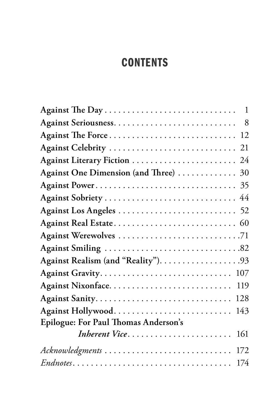## **CONTENTS**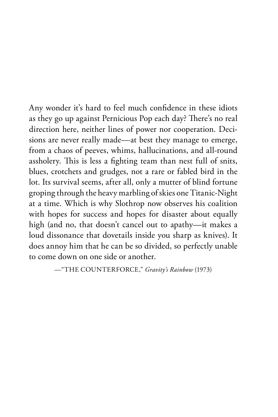Any wonder it's hard to feel much confidence in these idiots as they go up against Pernicious Pop each day? There's no real direction here, neither lines of power nor cooperation. Decisions are never really made—at best they manage to emerge, from a chaos of peeves, whims, hallucinations, and all-round assholery. This is less a fighting team than nest full of snits, blues, crotchets and grudges, not a rare or fabled bird in the lot. Its survival seems, after all, only a mutter of blind fortune groping through the heavy marbling of skies one Titanic-Night at a time. Which is why Slothrop now observes his coalition with hopes for success and hopes for disaster about equally high (and no, that doesn't cancel out to apathy—it makes a loud dissonance that dovetails inside you sharp as knives). It does annoy him that he can be so divided, so perfectly unable to come down on one side or another.

—"THE COUNTERFORCE," *Gravity's Rainbow* (1973)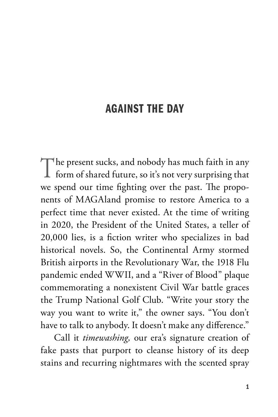## AGAINST THE DAY

The present sucks, and nobody has much faith in any form of shared future, so it's not very surprising that we spend our time fighting over the past. The proponents of MAGAland promise to restore America to a perfect time that never existed. At the time of writing in 2020, the President of the United States, a teller of 20,000 lies, is a fiction writer who specializes in bad historical novels. So, the Continental Army stormed British airports in the Revolutionary War, the 1918 Flu pandemic ended WWII, and a "River of Blood" plaque commemorating a nonexistent Civil War battle graces the Trump National Golf Club. "Write your story the way you want to write it," the owner says. "You don't have to talk to anybody. It doesn't make any difference."

Call it *timewashing,* our era's signature creation of fake pasts that purport to cleanse history of its deep stains and recurring nightmares with the scented spray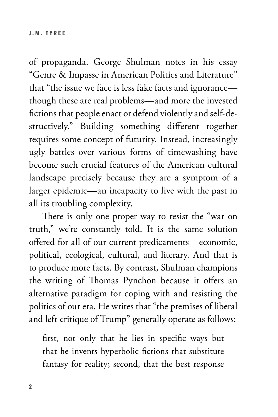of propaganda. George Shulman notes in his essay "Genre & Impasse in American Politics and Literature" that "the issue we face is less fake facts and ignorance though these are real problems—and more the invested fictions that people enact or defend violently and self-destructively." Building something different together requires some concept of futurity. Instead, increasingly ugly battles over various forms of timewashing have become such crucial features of the American cultural landscape precisely because they are a symptom of a larger epidemic—an incapacity to live with the past in all its troubling complexity.

There is only one proper way to resist the "war on truth," we're constantly told. It is the same solution offered for all of our current predicaments—economic, political, ecological, cultural, and literary. And that is to produce more facts. By contrast, Shulman champions the writing of Thomas Pynchon because it offers an alternative paradigm for coping with and resisting the politics of our era. He writes that "the premises of liberal and left critique of Trump" generally operate as follows:

first, not only that he lies in specific ways but that he invents hyperbolic fictions that substitute fantasy for reality; second, that the best response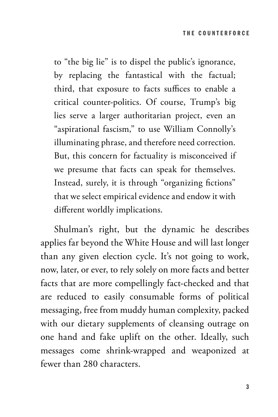to "the big lie" is to dispel the public's ignorance, by replacing the fantastical with the factual; third, that exposure to facts suffices to enable a critical counter-politics. Of course, Trump's big lies serve a larger authoritarian project, even an "aspirational fascism," to use William Connolly's illuminating phrase, and therefore need correction. But, this concern for factuality is misconceived if we presume that facts can speak for themselves. Instead, surely, it is through "organizing fictions" that we select empirical evidence and endow it with different worldly implications.

Shulman's right, but the dynamic he describes applies far beyond the White House and will last longer than any given election cycle. It's not going to work, now, later, or ever, to rely solely on more facts and better facts that are more compellingly fact-checked and that are reduced to easily consumable forms of political messaging, free from muddy human complexity, packed with our dietary supplements of cleansing outrage on one hand and fake uplift on the other. Ideally, such messages come shrink-wrapped and weaponized at fewer than 280 characters.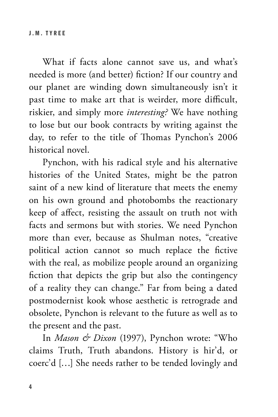What if facts alone cannot save us, and what's needed is more (and better) fiction? If our country and our planet are winding down simultaneously isn't it past time to make art that is weirder, more difficult, riskier, and simply more *interesting?* We have nothing to lose but our book contracts by writing against the day, to refer to the title of Thomas Pynchon's 2006 historical novel.

Pynchon, with his radical style and his alternative histories of the United States, might be the patron saint of a new kind of literature that meets the enemy on his own ground and photobombs the reactionary keep of affect, resisting the assault on truth not with facts and sermons but with stories. We need Pynchon more than ever, because as Shulman notes, "creative political action cannot so much replace the fictive with the real, as mobilize people around an organizing fiction that depicts the grip but also the contingency of a reality they can change." Far from being a dated postmodernist kook whose aesthetic is retrograde and obsolete, Pynchon is relevant to the future as well as to the present and the past.

In *Mason & Dixon* (1997), Pynchon wrote: "Who claims Truth, Truth abandons. History is hir'd, or coerc'd […] She needs rather to be tended lovingly and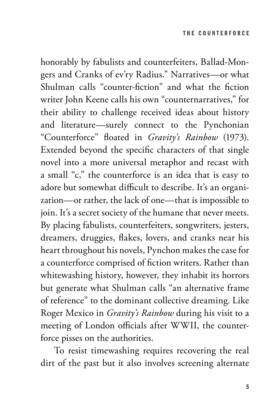honorably by fabulists and counterfeiters, Ballad-Mongers and Cranks of ev'ry Radius." Narratives—or what Shulman calls "counter-fiction" and what the fiction writer John Keene calls his own "counternarratives," for their ability to challenge received ideas about history and literature—surely connect to the Pynchonian "Counterforce" floated in *Gravity's Rainbow* (1973). Extended beyond the specific characters of that single novel into a more universal metaphor and recast with a small "c," the counterforce is an idea that is easy to adore but somewhat difficult to describe. It's an organization—or rather, the lack of one—that is impossible to join. It's a secret society of the humane that never meets. By placing fabulists, counterfeiters, songwriters, jesters, dreamers, druggies, flakes, lovers, and cranks near his heart throughout his novels, Pynchon makes the case for a counterforce comprised of fiction writers. Rather than whitewashing history, however, they inhabit its horrors but generate what Shulman calls "an alternative frame of reference" to the dominant collective dreaming. Like Roger Mexico in *Gravity's Rainbow* during his visit to a meeting of London officials after WWII, the counterforce pisses on the authorities.

To resist timewashing requires recovering the real dirt of the past but it also involves screening alternate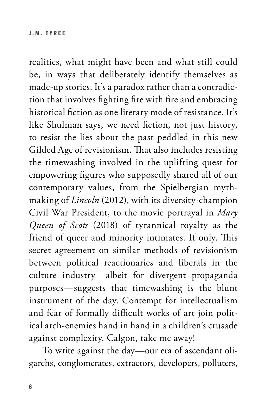realities, what might have been and what still could be, in ways that deliberately identify themselves as made-up stories. It's a paradox rather than a contradiction that involves fighting fire with fire and embracing historical fiction as one literary mode of resistance. It's like Shulman says, we need fiction, not just history, to resist the lies about the past peddled in this new Gilded Age of revisionism. That also includes resisting the timewashing involved in the uplifting quest for empowering figures who supposedly shared all of our contemporary values, from the Spielbergian mythmaking of *Lincoln* (2012), with its diversity-champion Civil War President, to the movie portrayal in *Mary Queen of Scots* (2018) of tyrannical royalty as the friend of queer and minority intimates. If only. This secret agreement on similar methods of revisionism between political reactionaries and liberals in the culture industry—albeit for divergent propaganda purposes—suggests that timewashing is the blunt instrument of the day. Contempt for intellectualism and fear of formally difficult works of art join political arch-enemies hand in hand in a children's crusade against complexity. Calgon, take me away!

To write against the day—our era of ascendant oligarchs, conglomerates, extractors, developers, polluters,

6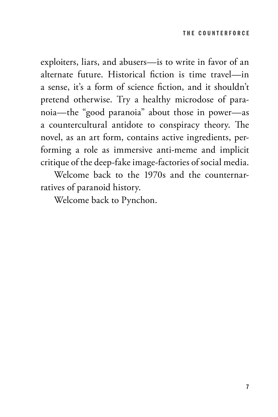exploiters, liars, and abusers—is to write in favor of an alternate future. Historical fiction is time travel—in a sense, it's a form of science fiction, and it shouldn't pretend otherwise. Try a healthy microdose of paranoia—the "good paranoia" about those in power—as a countercultural antidote to conspiracy theory. The novel, as an art form, contains active ingredients, performing a role as immersive anti-meme and implicit critique of the deep-fake image-factories of social media.

Welcome back to the 1970s and the counternarratives of paranoid history.

Welcome back to Pynchon.